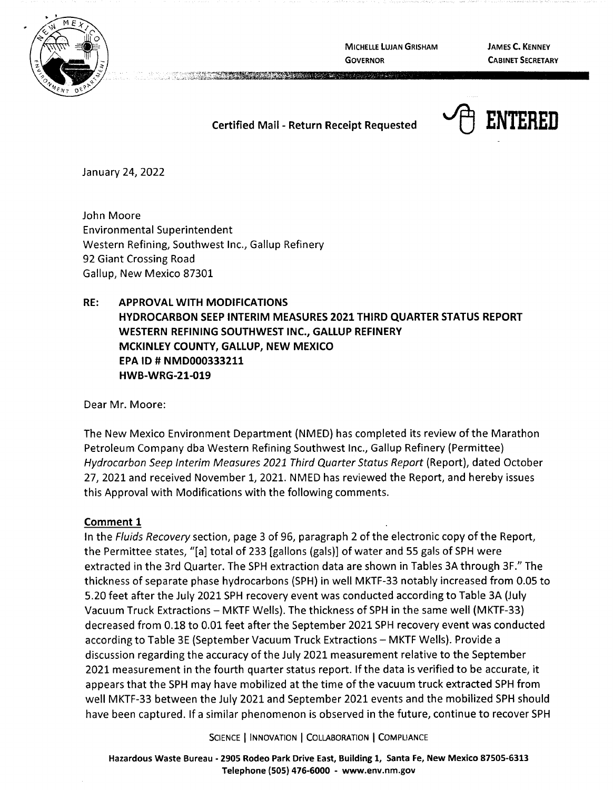

**MICHELLE LUJAN GRISHAM GOVERNOR** 

**JAMES C. KENNEY CABINET SECRETARY** 

## **Certified Mail** - **Return Receipt Requested**



January 24, 2022

John Moore Environmental Superintendent Western Refining, Southwest Inc., Gallup Refinery 92 Giant Crossing Road Gallup, New Mexico 87301

# **RE: APPROVAL WITH MODIFICATIONS HYDROCARBON SEEP INTERIM MEASURES 2021 THIRD QUARTER STATUS REPORT WESTERN REFINING SOUTHWEST INC., GALLUP REFINERY MCKINLEY COUNTY, GALLUP, NEW MEXICO EPA ID# NMD000333211 HWB-WRG-21-019**

Dear Mr. Moore:

The New Mexico Environment Department (NMED) has completed its review of the Marathon Petroleum Company dba Western Refining Southwest Inc., Gallup Refinery (Permittee) Hydrocarbon Seep Interim Measures 2021 Third Quarter Status Report (Report), dated October 27, 2021 and received November 1, 2021. NMED has reviewed the Report, and hereby issues this Approval with Modifications with the following comments.

## **Comment 1**

In the Fluids Recovery section, page 3 of 96, paragraph 2 of the electronic copy of the Report, the Permittee states, "[a] total of 233 [gallons (gals)] of water and 55 gals of SPH were extracted in the 3rd Quarter. The SPH extraction data are shown in Tables 3A through 3F." The thickness of separate phase hydrocarbons (SPH) in well MKTF-33 notably increased from 0.05 to 5.20 feet after the July 2021 SPH recovery event was conducted according to Table 3A (July Vacuum Truck Extractions - MKTF Wells). The thickness of SPH in the same well (MKTF-33) decreased from 0.18 to 0.01 feet after the September 2021 SPH recovery event was conducted according to Table 3E (September Vacuum Truck Extractions - MKTF Wells). Provide a discussion regarding the accuracy of the July 2021 measurement relative to the September 2021 measurement in the fourth quarter status report. If the data is verified to be accurate, it appears that the SPH may have mobilized at the time of the vacuum truck extracted SPH from well MKTF-33 between the July 2021 and September 2021 events and the mobilized SPH should have been captured. If a similar phenomenon is observed in the future, continue to recover SPH

SCIENCE | INNOVATION | COLLABORATION | COMPLIANCE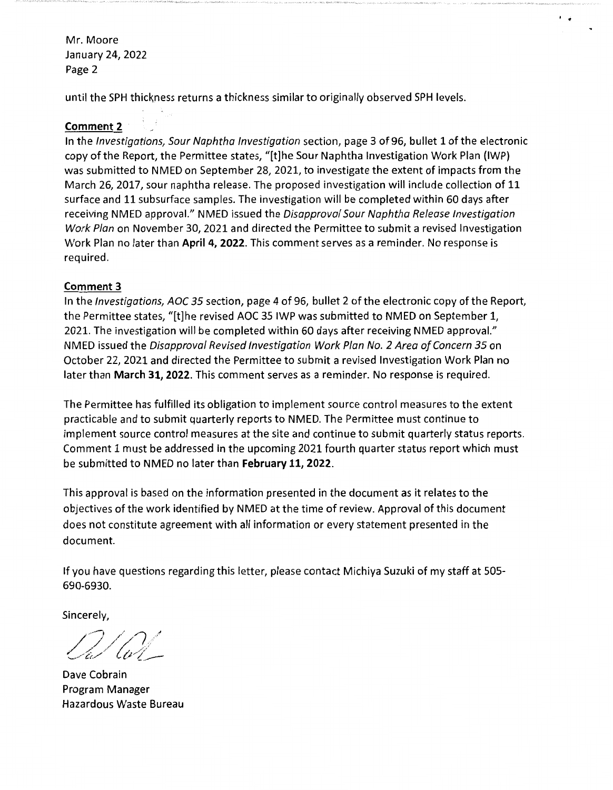Mr. Moore January 24, 2022 Page 2

until the SPH thickness returns a thickness similar to originally observed SPH levels.

#### **Comment 2**

In the Investigations, Sour Naphtha Investigation section, page 3 of 96, bullet 1 of the electronic copy of the Report, the Permittee states, "[t]he Sour Naphtha Investigation Work Plan (IWP) was submitted to NMED on September 28, 2021, to investigate the extent of impacts from the March 26, 2017, sour naphtha release. The proposed investigation will include collection of 11 surface and 11 subsurface samples. The investigation will be completed within 60 days after receiving NMED approval." NMED issued the Disapproval Sour Naphtha Release Investigation Work Plan on November 30, 2021 and directed the Permittee to submit a revised Investigation Work Plan no later than **April 4, 2022.** This comment serves as a reminder. No response is required.

 $^{\prime}$ 

#### **Comment 3**

In the Investigations, AOC 35 section, page 4 of 96, bullet 2 of the electronic copy of the Report, the Permittee states, "[t]he revised AOC 35 IWP was submitted to NMED on September 1, 2021. The investigation will be completed within 60 days after receiving NMED approval." NMED issued the Disapproval Revised Investigation Work Plan No. 2 Area of Concern 35 on October 22, 2021 and directed the Permittee to submit a revised Investigation Work Plan no later than **March 31, 2022.** This comment serves as a reminder. No response is required.

The Permittee has fulfilled its obligation to implement source control measures to the extent practicable and to submit quarterly reports to NMED. The Permittee must continue to implement source control measures at the site and continue to submit quarterly status reports. Comment 1 must be addressed in the upcoming 2021 fourth quarter status report which must be submitted to NMED no later than **February 11, 2022.** 

This approval is based on the information presented in the document as it relates to the objectives of the work identified by NMED at the time of review. Approval of this document does not constitute agreement with all information or every statement presented in the document.

If you have questions regarding this letter, please contact Michiya Suzuki of my staff at 505- 690-6930.

**Sincerely,** 

*/ ~:J,///j,// -....,/C~./* {tr'( \_\_

**Dave Cobrain Program Manager Hazardous Waste Bureau**